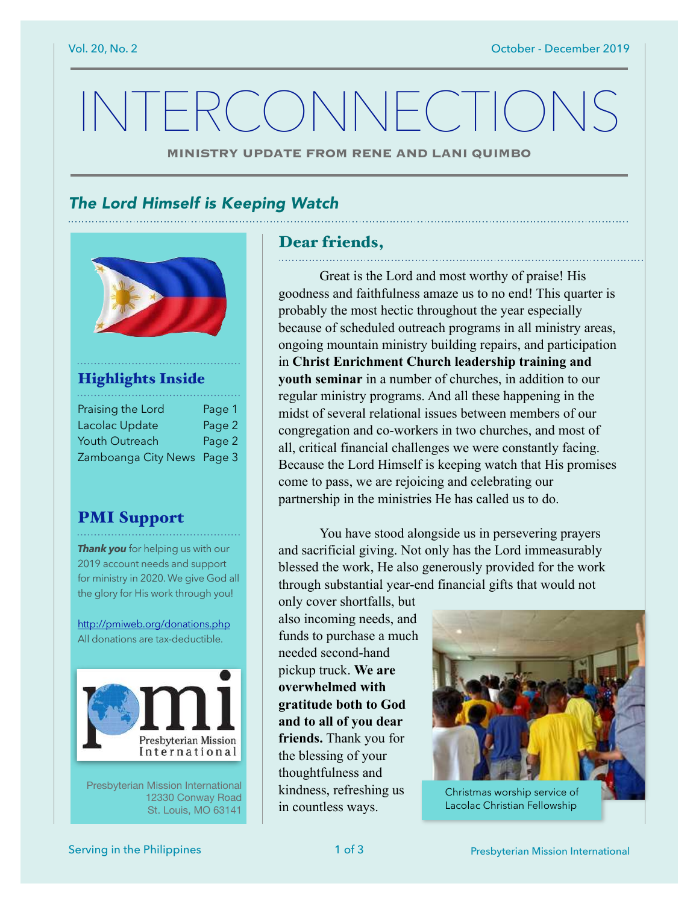# INTERCONNECTION

**MINISTRY UPDATE FROM RENE AND LANI QUIMBO**

### *The Lord Himself is Keeping Watch*



#### Highlights Inside

| Praising the Lord          | Page 1 |
|----------------------------|--------|
| Lacolac Update             | Page 2 |
| Youth Outreach             | Page 2 |
| Zamboanga City News Page 3 |        |

#### PMI Support

*Thank you* for helping us with our 2019 account needs and support for ministry in 2020. We give God all the glory for His work through you!

<http://pmiweb.org/donations.php> All donations are tax-deductible.



Presbyterian Mission International 12330 Conway Road St. Louis, MO 63141

#### Dear friends,

 Great is the Lord and most worthy of praise! His goodness and faithfulness amaze us to no end! This quarter is probably the most hectic throughout the year especially because of scheduled outreach programs in all ministry areas, ongoing mountain ministry building repairs, and participation in **Christ Enrichment Church leadership training and youth seminar** in a number of churches, in addition to our regular ministry programs. And all these happening in the midst of several relational issues between members of our congregation and co-workers in two churches, and most of all, critical financial challenges we were constantly facing. Because the Lord Himself is keeping watch that His promises come to pass, we are rejoicing and celebrating our partnership in the ministries He has called us to do.

 You have stood alongside us in persevering prayers and sacrificial giving. Not only has the Lord immeasurably blessed the work, He also generously provided for the work through substantial year-end financial gifts that would not

only cover shortfalls, but also incoming needs, and funds to purchase a much needed second-hand pickup truck. **We are overwhelmed with gratitude both to God and to all of you dear friends.** Thank you for the blessing of your thoughtfulness and kindness, refreshing us in countless ways.



Lacolac Christian Fellowship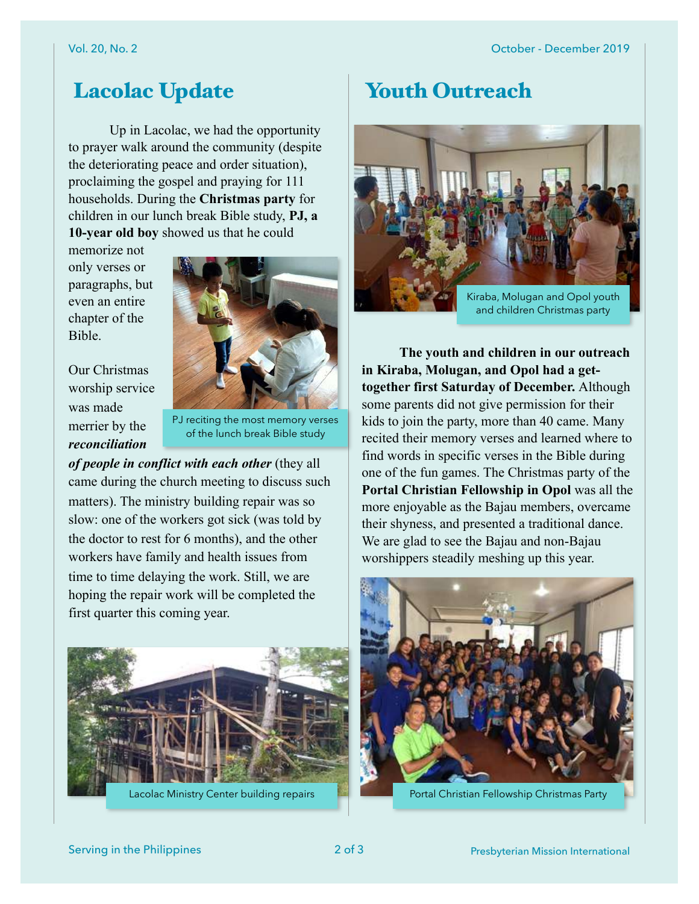## Lacolac Update

 Up in Lacolac, we had the opportunity to prayer walk around the community (despite the deteriorating peace and order situation), proclaiming the gospel and praying for 111 households. During the **Christmas party** for children in our lunch break Bible study, **PJ, a 10-year old boy** showed us that he could

memorize not only verses or paragraphs, but even an entire chapter of the Bible.



Our Christmas worship service was made merrier by the *reconciliation* 

PJ reciting the most memory verses of the lunch break Bible study

*of people in conflict with each other* (they all came during the church meeting to discuss such matters). The ministry building repair was so slow: one of the workers got sick (was told by the doctor to rest for 6 months), and the other workers have family and health issues from time to time delaying the work. Still, we are hoping the repair work will be completed the first quarter this coming year.



## Youth Outreach



 **The youth and children in our outreach in Kiraba, Molugan, and Opol had a gettogether first Saturday of December.** Although some parents did not give permission for their kids to join the party, more than 40 came. Many recited their memory verses and learned where to find words in specific verses in the Bible during one of the fun games. The Christmas party of the **Portal Christian Fellowship in Opol** was all the more enjoyable as the Bajau members, overcame their shyness, and presented a traditional dance. We are glad to see the Bajau and non-Bajau worshippers steadily meshing up this year.



Lacolac Ministry Center building repairs Portal Christian Fellowship Christmas Party